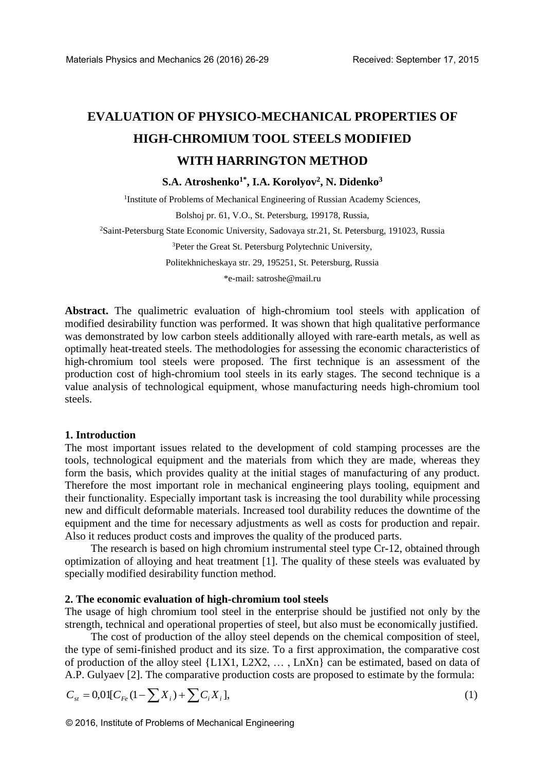# **EVALUATION OF PHYSICO-MECHANICAL PROPERTIES OF HIGH-CHROMIUM TOOL STEELS MODIFIED WITH HARRINGTON METHOD**

**S.A. Atroshenko1\*, I.A. Korolyov<sup>2</sup> , N. Didenko<sup>3</sup>**

<sup>1</sup>Institute of Problems of Mechanical Engineering of Russian Academy Sciences,

Bolshoj pr. 61, V.O., St. Petersburg, 199178, Russia,

<sup>2</sup>Saint-Petersburg State Economic University, Sadovaya str.21, St. Petersburg, 191023, Russia

<sup>3</sup>Peter the Great St. Petersburg Polytechnic University,

Politekhnicheskaya str. 29, 195251, St. Petersburg, Russia

\*e-mail: satroshe@mail.ru

**Abstract.** The qualimetric evaluation of high-chromium tool steels with application of modified desirability function was performed. It was shown that high qualitative performance was demonstrated by low carbon steels additionally alloyed with rare-earth metals, as well as optimally heat-treated steels. The methodologies for assessing the economic characteristics of high-chromium tool steels were proposed. The first technique is an assessment of the production cost of high-chromium tool steels in its early stages. The second technique is a value analysis of technological equipment, whose manufacturing needs high-chromium tool steels. Materials Physics and Mechanics 26 (2016) 26-29 Received: September 17, 2015<br>
EVALUATION OF PHYSICO-MECHANICAL PROPERTIES OF<br>
IIIGII-CICIROMIUM TOOL STIETLS MODIFIED<br>
S.A. Atroshenko<sup>14</sup>, L.A. Korolyov<sup>2</sup>, N. Didenko<sup>3</sup><br>

### **1. Introduction**

The most important issues related to the development of cold stamping processes are the tools, technological equipment and the materials from which they are made, whereas they form the basis, which provides quality at the initial stages of manufacturing of any product. Therefore the most important role in mechanical engineering plays tooling, equipment and their functionality. Especially important task is increasing the tool durability while processing new and difficult deformable materials. Increased tool durability reduces the downtime of the equipment and the time for necessary adjustments as well as costs for production and repair. Also it reduces product costs and improves the quality of the produced parts.

The research is based on high chromium instrumental steel type Cr-12, obtained through optimization of alloying and heat treatment [1]. The quality of these steels was evaluated by specially modified desirability function method.

### **2. The economic evaluation of high-chromium tool steels**

The usage of high chromium tool steel in the enterprise should be justified not only by the strength, technical and operational properties of steel, but also must be economically justified.

The cost of production of the alloy steel depends on the chemical composition of steel, the type of semi-finished product and its size. To a first approximation, the comparative cost of production of the alloy steel {L1X1, L2X2, ..., LnXn} can be estimated, based on data of A.P. Gulyaev [2]. The comparative production costs are proposed to estimate by the formula:

$$
C_{st} = 0.01[C_{Fe}(1 - \sum X_i) + \sum C_i X_i],
$$
\n(1)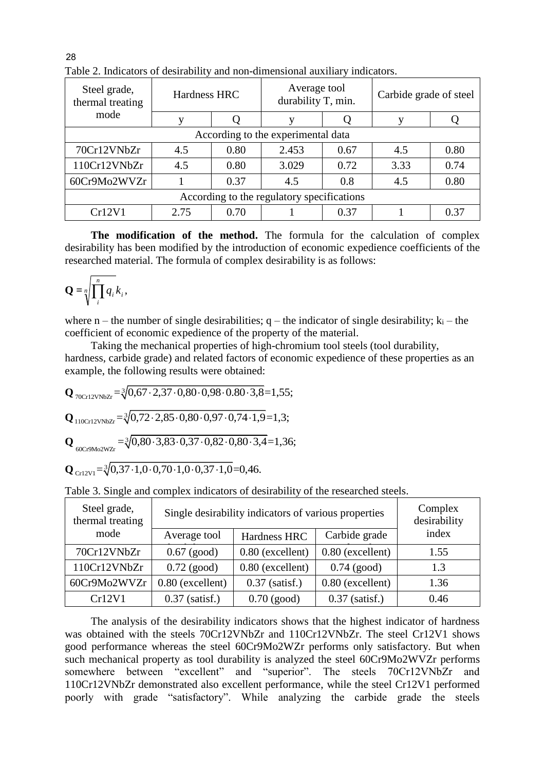| Steel grade,<br>thermal treating<br>mode   | Hardness HRC |      | Average tool<br>durability T, min. |      | Carbide grade of steel |      |  |  |  |
|--------------------------------------------|--------------|------|------------------------------------|------|------------------------|------|--|--|--|
|                                            |              |      |                                    |      |                        |      |  |  |  |
| According to the experimental data         |              |      |                                    |      |                        |      |  |  |  |
| 70Cr12VNbZr                                | 4.5          | 0.80 | 2.453                              | 0.67 | 4.5                    | 0.80 |  |  |  |
| 110Cr12VNbZr                               | 4.5          | 0.80 | 3.029                              | 0.72 | 3.33                   | 0.74 |  |  |  |
| 60Cr9Mo2WVZr                               |              | 0.37 | 4.5                                | 0.8  | 4.5                    | 0.80 |  |  |  |
| According to the regulatory specifications |              |      |                                    |      |                        |      |  |  |  |
| Cr12V1                                     | 2.75         | 0.70 |                                    | 0.37 |                        | 0.37 |  |  |  |

Table 2. Indicators of desirability and non-dimensional auxiliary indicators.

**The modification of the method.** The formula for the calculation of complex desirability has been modified by the introduction of economic expedience coefficients of the researched material. The formula of complex desirability is as follows:

$$
\mathbf{Q} = \sqrt[n]{\prod_{i=1}^{n} q_i k_i},
$$

where n – the number of single desirabilities;  $q$  – the indicator of single desirability;  $k_i$  – the coefficient of economic expedience of the property of the material.

Taking the mechanical properties of high-chromium tool steels (tool durability, hardness, carbide grade) and related factors of economic expedience of these properties as an

example, the following results were obtained:  
\n
$$
Q_{70 \text{Cr12VNBZr}} = \sqrt[3]{0,67 \cdot 2,37 \cdot 0,80 \cdot 0,98 \cdot 0.80 \cdot 3,8} = 1,55;
$$
\n
$$
Q_{110 \text{Cr12VNbZr}} = \sqrt[3]{0,72 \cdot 2,85 \cdot 0,80 \cdot 0,97 \cdot 0,74 \cdot 1,9} = 1,3;
$$
\n
$$
Q_{60 \text{Cr9Mo2WZr}} = \sqrt[3]{0,80 \cdot 3,83 \cdot 0,37 \cdot 0,82 \cdot 0,80 \cdot 3,4} = 1,36;
$$

$$
Q_{\text{Cr12V1}} = \sqrt[3]{0,37 \cdot 1,0 \cdot 0,70 \cdot 1,0 \cdot 0,37 \cdot 1,0} = 0,46.
$$

Table 3. Single and complex indicators of desirability of the researched steels.

| Steel grade,<br>thermal treating | Single desirability indicators of various properties | Complex<br>desirability |                    |       |  |
|----------------------------------|------------------------------------------------------|-------------------------|--------------------|-------|--|
| mode                             | Average tool                                         | Hardness HRC            | Carbide grade      | index |  |
| 70Cr12VNbZr                      | $0.67$ (good)                                        | 0.80 (excellent)        | $0.80$ (excellent) | 1.55  |  |
| 110Cr12VNbZr                     | $0.72$ (good)                                        | $0.80$ (excellent)      | $0.74$ (good)      | 1.3   |  |
| 60Cr9Mo2WVZr                     | $0.80$ (excellent)                                   | $0.37$ (satisf.)        | $0.80$ (excellent) | 1.36  |  |
| Cr12V1                           | $0.37$ (satisf.)                                     | $0.70$ (good)           | $0.37$ (satisf.)   | 0.46  |  |

The analysis of the desirability indicators shows that the highest indicator of hardness was obtained with the steels 70Cr12VNbZr and 110Cr12VNbZr. The steel Cr12V1 shows good performance whereas the steel 60Cr9Mo2WZr performs only satisfactory. But when such mechanical property as tool durability is analyzed the steel 60Cr9Mo2WVZr performs somewhere between "excellent" and "superior". The steels 70Cr12VNbZr and 110Cr12VNbZr demonstrated also excellent performance, while the steel Cr12V1 performed poorly with grade "satisfactory". While analyzing the carbide grade the steels

28